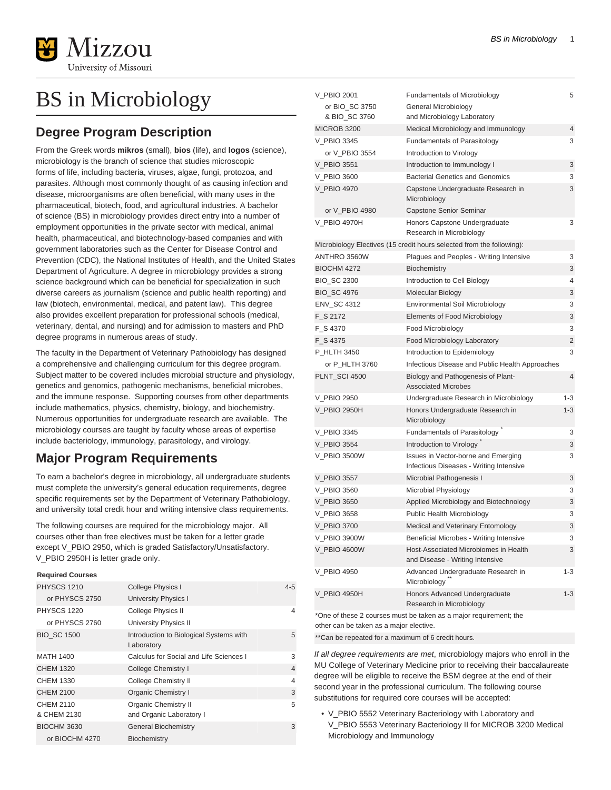

# BS in Microbiology

## **Degree Program Description**

From the Greek words **mikros** (small), **bios** (life), and **logos** (science), microbiology is the branch of science that studies microscopic forms of life, including bacteria, viruses, algae, fungi, protozoa, and parasites. Although most commonly thought of as causing infection and disease, microorganisms are often beneficial, with many uses in the pharmaceutical, biotech, food, and agricultural industries. A bachelor of science (BS) in microbiology provides direct entry into a number of employment opportunities in the private sector with medical, animal health, pharmaceutical, and biotechnology-based companies and with government laboratories such as the Center for Disease Control and Prevention (CDC), the National Institutes of Health, and the United States Department of Agriculture. A degree in microbiology provides a strong science background which can be beneficial for specialization in such diverse careers as journalism (science and public health reporting) and law (biotech, environmental, medical, and patent law). This degree also provides excellent preparation for professional schools (medical, veterinary, dental, and nursing) and for admission to masters and PhD degree programs in numerous areas of study.

The faculty in the Department of Veterinary Pathobiology has designed a comprehensive and challenging curriculum for this degree program. Subject matter to be covered includes microbial structure and physiology, genetics and genomics, pathogenic mechanisms, beneficial microbes, and the immune response. Supporting courses from other departments include mathematics, physics, chemistry, biology, and biochemistry. Numerous opportunities for undergraduate research are available. The microbiology courses are taught by faculty whose areas of expertise include bacteriology, immunology, parasitology, and virology.

## **Major Program Requirements**

To earn a bachelor's degree in microbiology, all undergraduate students must complete the university's general education requirements, degree specific requirements set by the Department of Veterinary Pathobiology, and university total credit hour and writing intensive class requirements.

The following courses are required for the microbiology major. All courses other than free electives must be taken for a letter grade except V\_PBIO 2950, which is graded Satisfactory/Unsatisfactory. V PBIO 2950H is letter grade only.

#### **Required Courses**

| <b>PHYSCS 1210</b>       | <b>College Physics I</b>                                | $4 - 5$        |
|--------------------------|---------------------------------------------------------|----------------|
| or PHYSCS 2750           | University Physics I                                    |                |
| <b>PHYSCS 1220</b>       | <b>College Physics II</b>                               | 4              |
| or PHYSCS 2760           | <b>University Physics II</b>                            |                |
| <b>BIO SC 1500</b>       | Introduction to Biological Systems with<br>Laboratory   | 5              |
| <b>MATH 1400</b>         | Calculus for Social and Life Sciences I                 | 3              |
| CHEM 1320                | College Chemistry I                                     | $\overline{4}$ |
| CHEM 1330                | College Chemistry II                                    | $\overline{4}$ |
| CHEM 2100                | Organic Chemistry I                                     | 3              |
| CHEM 2110<br>& CHEM 2130 | <b>Organic Chemistry II</b><br>and Organic Laboratory I | 5              |
| <b>BIOCHM 3630</b>       | <b>General Biochemistry</b>                             | 3              |
| or BIOCHM 4270           | Biochemistry                                            |                |

| V_PBIO 2001        | <b>Fundamentals of Microbiology</b>                                            | 5              |
|--------------------|--------------------------------------------------------------------------------|----------------|
| or BIO_SC 3750     | General Microbiology                                                           |                |
| & BIO_SC 3760      | and Microbiology Laboratory                                                    |                |
| <b>MICROB 3200</b> | Medical Microbiology and Immunology                                            | 4              |
| V PBIO 3345        | <b>Fundamentals of Parasitology</b>                                            | 3              |
| or V_PBIO 3554     | Introduction to Virology                                                       |                |
| V PBIO 3551        | Introduction to Immunology I                                                   | 3              |
| V PBIO 3600        | <b>Bacterial Genetics and Genomics</b>                                         | 3              |
| V PBIO 4970        | Capstone Undergraduate Research in<br>Microbiology                             | 3              |
| or V_PBIO 4980     | Capstone Senior Seminar                                                        |                |
| V_PBIO 4970H       | Honors Capstone Undergraduate<br>Research in Microbiology                      | 3              |
|                    | Microbiology Electives (15 credit hours selected from the following):          |                |
| ANTHRO 3560W       | Plagues and Peoples - Writing Intensive                                        | 3              |
| <b>BIOCHM 4272</b> | <b>Biochemistry</b>                                                            | 3              |
| <b>BIO_SC 2300</b> | Introduction to Cell Biology                                                   | 4              |
| <b>BIO_SC 4976</b> | Molecular Biology                                                              | 3              |
| ENV_SC 4312        | <b>Environmental Soil Microbiology</b>                                         | 3              |
| F S 2172           | Elements of Food Microbiology                                                  | 3              |
| F S 4370           | Food Microbiology                                                              | 3              |
| F S 4375           | Food Microbiology Laboratory                                                   | 2              |
| P HLTH 3450        | Introduction to Epidemiology                                                   | 3              |
| or P HLTH 3760     | Infectious Disease and Public Health Approaches                                |                |
| PLNT_SCI 4500      | Biology and Pathogenesis of Plant-<br><b>Associated Microbes</b>               | $\overline{4}$ |
| V_PBIO 2950        | Undergraduate Research in Microbiology                                         | $1 - 3$        |
| V PBIO 2950H       | Honors Undergraduate Research in<br>Microbiology                               | $1 - 3$        |
| V_PBIO 3345        | <b>Fundamentals of Parasitology</b>                                            | 3              |
| V_PBIO 3554        | Introduction to Virology                                                       | 3              |
| V_PBIO 3500W       | Issues in Vector-borne and Emerging<br>Infectious Diseases - Writing Intensive | 3              |
| V_PBIO 3557        | Microbial Pathogenesis I                                                       | 3              |
| V_PBIO 3560        | Microbial Physiology                                                           | 3              |
| V PBIO 3650        | Applied Microbiology and Biotechnology                                         | 3              |
| V_PBIO 3658        | Public Health Microbiology                                                     | 3              |
| V PBIO 3700        | Medical and Veterinary Entomology                                              | 3              |
| V_PBIO 3900W       | Beneficial Microbes - Writing Intensive                                        | 3              |
| V PBIO 4600W       | Host-Associated Microbiomes in Health<br>and Disease - Writing Intensive       | 3              |
| V_PBIO 4950        | Advanced Undergraduate Research in<br>Microbiology <sup>"</sup>                | $1 - 3$        |
| V PBIO 4950H       |                                                                                | $1 - 3$        |
|                    | Honors Advanced Undergraduate<br>Research in Microbiology                      |                |

\*\*Can be repeated for a maximum of 6 credit hours.

If all degree requirements are met, microbiology majors who enroll in the MU College of Veterinary Medicine prior to receiving their baccalaureate degree will be eligible to receive the BSM degree at the end of their second year in the professional curriculum. The following course substitutions for required core courses will be accepted:

• V\_PBIO 5552 Veterinary Bacteriology with Laboratory and V\_PBIO 5553 Veterinary Bacteriology II for MICROB 3200 Medical Microbiology and Immunology